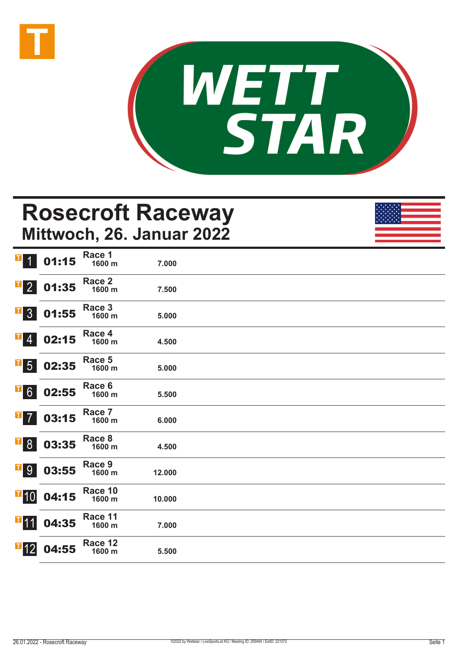



## **Rosecroft Raceway Mittwoch, 26. Januar 2022**

| $\mathbf{T}$<br>$\overline{1}$ | 01:15 | Race 1<br>1600 m  | 7.000  |  |
|--------------------------------|-------|-------------------|--------|--|
| $\mathbf{F}$ 2                 | 01:35 | Race 2<br>1600 m  | 7.500  |  |
| $\overline{\phantom{0}}$ 3     | 01:55 | Race 3<br>1600 m  | 5.000  |  |
| $\mathbf{F}$ 4                 | 02:15 | Race 4<br>1600 m  | 4.500  |  |
| $\overline{\textbf{F}}$ 5      | 02:35 | Race 5<br>1600 m  | 5.000  |  |
| $\overline{1}$ 6               | 02:55 | Race 6<br>1600 m  | 5.500  |  |
| $\mathbf{I}$<br>$\overline{7}$ | 03:15 | Race 7<br>1600 m  | 6.000  |  |
| $\overline{\phantom{a}}$ 8     | 03:35 | Race 8<br>1600 m  | 4.500  |  |
| <b>T</b> <sup>9</sup>          | 03:55 | Race 9<br>1600 m  | 12.000 |  |
| $\overline{1}$ 10              | 04:15 | Race 10<br>1600 m | 10.000 |  |
| $\blacksquare$ 11              | 04:35 | Race 11<br>1600 m | 7.000  |  |
| $\overline{1}$ 12              | 04:55 | Race 12<br>1600 m | 5.500  |  |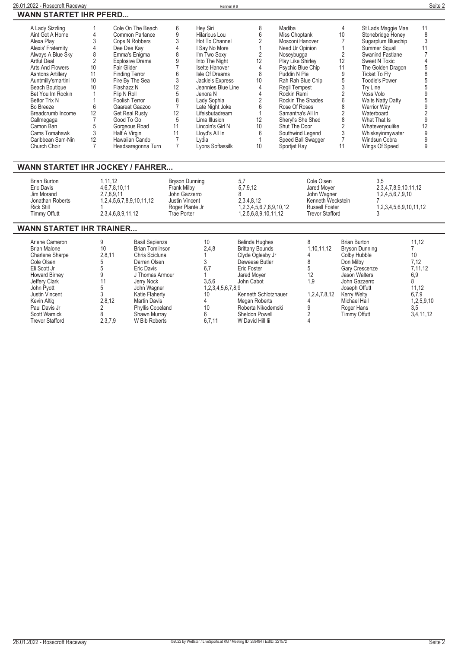| 26.01.2022 - Rosecroft Racewav                                                                                                                                                                                                                                                                                                                                            |                                                                        |                                                                                                                                                                                                                                                                                                                                                               |                                                                                                                         | Rennen#9                                                                                                                                                                                                                                                                                                                                 |                                                                                       |                                                                                                                                                                                                                                                                                                                                                       |                                                                                                                  |                                                                                                |                                                                                                                                                                                                                                                                                                                                                                                     | Seite 2                                            |  |
|---------------------------------------------------------------------------------------------------------------------------------------------------------------------------------------------------------------------------------------------------------------------------------------------------------------------------------------------------------------------------|------------------------------------------------------------------------|---------------------------------------------------------------------------------------------------------------------------------------------------------------------------------------------------------------------------------------------------------------------------------------------------------------------------------------------------------------|-------------------------------------------------------------------------------------------------------------------------|------------------------------------------------------------------------------------------------------------------------------------------------------------------------------------------------------------------------------------------------------------------------------------------------------------------------------------------|---------------------------------------------------------------------------------------|-------------------------------------------------------------------------------------------------------------------------------------------------------------------------------------------------------------------------------------------------------------------------------------------------------------------------------------------------------|------------------------------------------------------------------------------------------------------------------|------------------------------------------------------------------------------------------------|-------------------------------------------------------------------------------------------------------------------------------------------------------------------------------------------------------------------------------------------------------------------------------------------------------------------------------------------------------------------------------------|----------------------------------------------------|--|
| <b>WANN STARTET IHR PFERD</b>                                                                                                                                                                                                                                                                                                                                             |                                                                        |                                                                                                                                                                                                                                                                                                                                                               |                                                                                                                         |                                                                                                                                                                                                                                                                                                                                          |                                                                                       |                                                                                                                                                                                                                                                                                                                                                       |                                                                                                                  |                                                                                                |                                                                                                                                                                                                                                                                                                                                                                                     |                                                    |  |
| A Lady Sizzling<br>Aint Got A Home<br>Alexa Play<br>Alexis' Fraternity<br>Always A Blue Sky<br>Artful Deal<br>Arts And Flowers<br><b>Ashtons Artillery</b><br>Auntmilly'smartini<br><b>Beach Boutique</b><br>Bet You Im Rockin<br><b>Bettor Trix N</b><br>Bo Breeze<br>Breadcrumb Income<br>Callmegaga<br>Camon Ban<br>Cams Tomahawk<br>Caribbean Sam-Nin<br>Church Choir | 3<br>8<br>$\overline{2}$<br>10<br>11<br>10<br>10<br>6<br>12<br>3<br>12 | Cole On The Beach<br>Common Parlance<br>Cops N Robbers<br>Dee Dee Kay<br>Emma's Enigma<br><b>Explosive Drama</b><br>Fair Glider<br><b>Finding Terror</b><br>Fire By The Sea<br>Flashazz N<br>Flip N Roll<br>Foolish Terror<br>Gaareat Gaazoo<br><b>Get Real Rusty</b><br>Good To Go<br>Gorgeous Road<br>Half A Virgin<br>Hawaiian Cando<br>Headsaregonna Turn | 6<br>9<br>3<br>3<br>12<br>12<br>5<br>11<br>11<br>$\overline{7}$                                                         | Hey Siri<br>Hilarious Lou<br>Hot To Channel<br>I Say No More<br>I'm Two Soxy<br>Into The Night<br><b>Isette Hanover</b><br>Isle Of Dreams<br>Jackie's Express<br>Jeannies Blue Line<br>Jenora N<br>Lady Sophia<br>Late Night Joke<br>Lifeisbutadream<br>Lima Illusion<br>Lincoln's Girl N<br>Lloyd's All In<br>Lydia<br>Lyons Softassilk | 8<br>6<br>2<br>12<br>8<br>10<br>4<br>$\overline{2}$<br>6<br>12<br>10<br>6<br>10       | Madiba<br>Miss Choptank<br>Mosconi Hanover<br>Need Ur Opinion<br>Noseybugga<br>Play Like Shirley<br>Psychic Blue Chip<br>Puddin N Pie<br>Rah Rah Blue Chip<br>Regil Tempest<br>Rockin Remi<br>Rockin The Shades<br>Rose Of Roses<br>Samantha's All In<br>Sheryl's She Shed<br>Shut The Door<br>Southwind Legend<br>Speed Ball Swagger<br>Sportjet Ray |                                                                                                                  | $\overline{4}$<br>10<br>$\overline{2}$<br>12<br>11<br>9<br>5<br>6<br>$\overline{2}$<br>8<br>11 | St Lads Maggie Mae<br>Stonebridge Honey<br>Sugarplum Bluechip<br>Summer Squall<br>Swanind Fastlane<br><b>Sweet N Toxic</b><br>The Golden Dragon<br><b>Ticket To Flv</b><br><b>Toodle's Power</b><br>Trv Line<br>Voss Volo<br><b>Walts Natty Datty</b><br><b>Warrior Wav</b><br>Waterboard<br>What That Is<br>Whateveryoulike<br>Whiskeyinmywater<br>Windsun Cobra<br>Wings Of Speed | 11<br>3<br>11<br>$\mathbf{Q}$<br>12<br>9<br>9<br>9 |  |
| <b>WANN STARTET IHR JOCKEY / FAHRER</b>                                                                                                                                                                                                                                                                                                                                   |                                                                        |                                                                                                                                                                                                                                                                                                                                                               |                                                                                                                         |                                                                                                                                                                                                                                                                                                                                          |                                                                                       |                                                                                                                                                                                                                                                                                                                                                       |                                                                                                                  |                                                                                                |                                                                                                                                                                                                                                                                                                                                                                                     |                                                    |  |
| <b>Brian Burton</b><br>Eric Davis<br>Jim Morand<br>Jonathan Roberts<br><b>Rick Still</b><br>Timmy Offutt                                                                                                                                                                                                                                                                  |                                                                        | 1,11,12<br>4, 6, 7, 8, 10, 11<br>2,7,8,9,11<br>1,2,4,5,6,7,8,9,10,11,12<br>2,3,4,6,8,9,11,12                                                                                                                                                                                                                                                                  | <b>Bryson Dunning</b><br>Frank Milby<br>John Gazzerro<br><b>Justin Vincent</b><br>Roger Plante Jr<br><b>Trae Porter</b> |                                                                                                                                                                                                                                                                                                                                          | 5.7<br>5,7,9,12<br>8<br>2,3,4,8,12<br>1,2,3,4,5,6,7,8,9,10,12<br>1,2,5,6,8,9,10,11,12 |                                                                                                                                                                                                                                                                                                                                                       | Cole Olsen<br>Jared Moyer<br>John Wagner<br>Kenneth Weckstein<br><b>Russell Foster</b><br><b>Trevor Stafford</b> |                                                                                                | 3.5<br>2,3,4,7,8,9,10,11,12<br>1,2,4,5,6,7,9,10<br>1,2,3,4,5,6,9,10,11,12                                                                                                                                                                                                                                                                                                           |                                                    |  |

## **WANN STARTET IHR TRAINER...**

| Arlene Cameron<br><b>Brian Malone</b><br>Charlene Sharpe<br>Cole Olsen<br>Eli Scott Jr<br><b>Howard Birney</b><br>Jeffery Clark<br>John Pvott<br><b>Justin Vincent</b><br>Kevin Altig<br>Paul Davis Jr<br><b>Scott Warnick</b> | 10 <sup>°</sup><br>2,8,11<br>2,8,12 | Basil Sapienza<br>Brian Tomlinson<br>Chris Scicluna<br>Darren Olsen<br>Eric Davis<br>J Thomas Armour<br>Jerry Nock<br>John Wagner<br>Katie Flaherty<br>Martin Davis<br><b>Phyllis Copeland</b><br>Shawn Murray | 10<br>2,4,8<br>6.7<br>3,5,6<br>1,2,3,4,5,6,7,8,9<br>10<br>10 | <b>Belinda Hughes</b><br><b>Brittany Bounds</b><br>Clyde Oglesby Jr<br>Deweese Butler<br>Eric Foster<br>Jared Moyer<br>John Cabot<br>Kenneth Schlotzhauer<br>Megan Roberts<br>Roberta Nikodemski<br>Sheldon Powell | 1.10.11.12<br>12<br>1,9<br>1,2,4,7,8,12 | Brian Burton<br>Bryson Dunning<br>Colby Hubble<br>Don Milby<br>Gary Crescenze<br>Jason Walters<br>John Gazzerro<br>Joseph Offutt<br>Kerry Welty<br>Michael Hall<br>Roger Hans<br>Timmy Offutt | 11.12<br>10<br>7,12<br>7,11,12<br>6,9<br>11.12<br>6,7,9<br>1,2,5,9,10<br>3,5<br>3,4,11,12 |
|--------------------------------------------------------------------------------------------------------------------------------------------------------------------------------------------------------------------------------|-------------------------------------|----------------------------------------------------------------------------------------------------------------------------------------------------------------------------------------------------------------|--------------------------------------------------------------|--------------------------------------------------------------------------------------------------------------------------------------------------------------------------------------------------------------------|-----------------------------------------|-----------------------------------------------------------------------------------------------------------------------------------------------------------------------------------------------|-------------------------------------------------------------------------------------------|
| <b>Trevor Stafford</b>                                                                                                                                                                                                         | 2,3,7,9                             | W Bib Roberts                                                                                                                                                                                                  | 6.7.11                                                       | W David Hill lii                                                                                                                                                                                                   |                                         |                                                                                                                                                                                               |                                                                                           |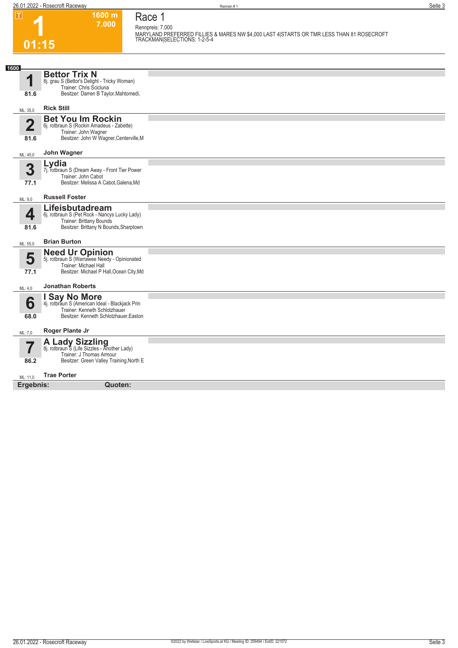**1600 m 7.000 Race 1**

**Rennpreis: 7.000 MARYLAND PREFERRED FILLIES & MARES NW \$4,000 LAST 4|STARTS OR TMR LESS THAN 81 ROSECROFT TRACKMAN|SELECTIONS: 1-2-5-4** 

| 01:15                  |                                                                                                                                                    | TRACKMAN SELECTIONS: 1-2-5-4 |
|------------------------|----------------------------------------------------------------------------------------------------------------------------------------------------|------------------------------|
| 1600                   |                                                                                                                                                    |                              |
| 1<br>81.6              | <b>Bettor Trix N</b><br>8j. grau S (Bettor's Delight - Tricky Woman)<br>Trainer: Chris Scicluna<br>Besitzer: Darren B Taylor, Mahtomedi,           |                              |
| ML: 35,0               | <b>Rick Still</b>                                                                                                                                  |                              |
| $\overline{2}$<br>81.6 | <b>Bet You Im Rockin</b><br>6j. rotbraun S (Rockin Amadeus - Zabette)<br>Trainer: John Wagner<br>Besitzer: John W Wagner, Centerville, M           |                              |
| ML: 45,0               | John Wagner                                                                                                                                        |                              |
| 3<br>77.1              | Lydia<br>7j. rotbraun S (Dream Away - Front Tier Power<br>Trainer: John Cabot<br>Besitzer: Melissa A Cabot, Galena, Md                             |                              |
| ML: 9,0                | <b>Russell Foster</b>                                                                                                                              |                              |
| 4<br>81.6              | Lifeisbutadream<br>6j. rotbraun S (Pet Rock - Nancys Lucky Lady)<br>Trainer: Brittany Bounds<br>Besitzer: Brittany N Bounds, Sharptown             |                              |
| ML: 55,0               | <b>Brian Burton</b>                                                                                                                                |                              |
| 5<br>77.1              | <b>Need Ur Opinion</b><br>5j. rotbraun S (Warrawee Needy - Opinionated<br><b>Trainer: Michael Hall</b><br>Besitzer: Michael P Hall, Ocean City, Md |                              |
| ML: 4,0                | <b>Jonathan Roberts</b>                                                                                                                            |                              |
| 6<br>68.0              | I Say No More<br>4j. rotbraun S (American Ideal - Blackjack Prin<br>Trainer: Kenneth Schlotzhauer<br>Besitzer: Kenneth Schlotzhauer, Easton        |                              |
| ML: 7,0                | Roger Plante Jr                                                                                                                                    |                              |
| 7<br>86.2              | A Lady Sizzling<br>8j. rotbraun S (Life Sizzles - Another Lady)<br>Trainer: J Thomas Armour<br>Besitzer: Green Valley Training, North E            |                              |
| ML: 11.0               | <b>Trae Porter</b>                                                                                                                                 |                              |
| Ergebnis:              | Quoten:                                                                                                                                            |                              |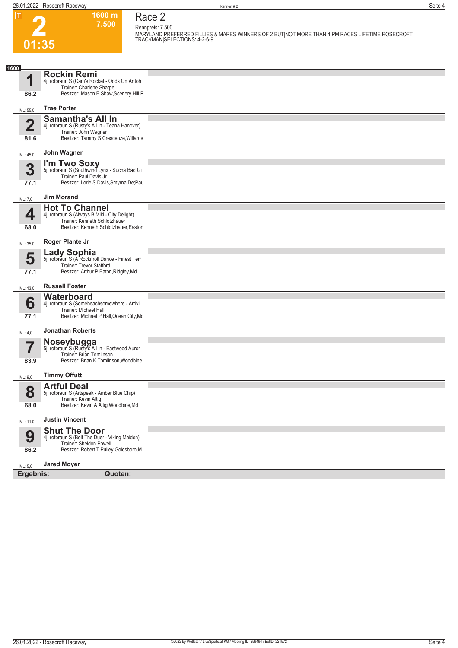**01:35**

**Race 2 Rennpreis: 7.500**

**1600 m 7.500** 

**MARYLAND PREFERRED FILLIES & MARES WINNERS OF 2 BUT|NOT MORE THAN 4 PM RACES LIFETIME ROSECROFT TRACKMAN|SELECTIONS: 4-2-6-9** 

| 1600                          |                                                                           |  |
|-------------------------------|---------------------------------------------------------------------------|--|
| 1                             | <b>Rockin Remi</b>                                                        |  |
|                               | 4j. rotbraun S (Cam's Rocket - Odds On Arttoh<br>Trainer: Charlene Sharpe |  |
| 86.2                          | Besitzer: Mason E Shaw, Scenery Hill, P                                   |  |
| ML: 55,0                      | <b>Trae Porter</b>                                                        |  |
| $\mathbf{2}$                  | <b>Samantha's All In</b>                                                  |  |
|                               | 4j. rotbraun S (Rusty's All In - Teana Hanover)<br>Trainer: John Wagner   |  |
| 81.6                          | Besitzer: Tammy S Crescenze, Willards                                     |  |
| ML: 45,0                      | John Wagner                                                               |  |
| 3                             | I'm Two Soxy<br>5j. rotbraun S (Southwind Lynx - Sucha Bad Gi             |  |
|                               | Trainer: Paul Davis Jr                                                    |  |
| 77.1                          | Besitzer: Lorie S Davis, Smyrna, De; Pau                                  |  |
| ML: 7,0                       | <b>Jim Morand</b>                                                         |  |
| 4                             | <b>Hot To Channel</b><br>4j. rotbraun S (Always B Miki - City Delight)    |  |
|                               | Trainer: Kenneth Schlotzhauer<br>Besitzer: Kenneth Schlotzhauer, Easton   |  |
| 68.0                          |                                                                           |  |
| ML: 35,0                      | Roger Plante Jr                                                           |  |
| 5                             | <b>Lady Sophia</b><br>5j. rotbraun S (A Rocknroll Dance - Finest Terr     |  |
|                               | Trainer: Trevor Stafford<br>Besitzer: Arthur P Eaton, Ridgley, Md         |  |
| 77.1                          |                                                                           |  |
| ML: 13,0                      | <b>Russell Foster</b>                                                     |  |
| 6                             | Waterboard<br>4j. rotbraun S (Somebeachsomewhere - Arrivi                 |  |
| 77.1                          | Trainer: Michael Hall<br>Besitzer: Michael P Hall, Ocean City, Md         |  |
|                               |                                                                           |  |
| ML: 4,0                       | <b>Jonathan Roberts</b>                                                   |  |
| $\overline{\phantom{a}}$<br>I | <b>Noseybugga</b> 5j. rotbraun S (Rusty's All In - Eastwood Auror         |  |
| 83.9                          | Trainer: Brian Tomlinson<br>Besitzer: Brian K Tomlinson, Woodbine,        |  |
|                               |                                                                           |  |
| ML: 9,0                       | <b>Timmy Offutt</b>                                                       |  |
| 8                             | <b>Artful Deal</b><br>5j. rotbraun S (Artspeak - Amber Blue Chip)         |  |
| 68.0                          | Trainer: Kevin Altig<br>Besitzer: Kevin A Altig, Woodbine, Md             |  |
|                               |                                                                           |  |
| ML: 11,0                      | <b>Justin Vincent</b>                                                     |  |
| 9                             | <b>Shut The Door</b><br>4j. rotbraun S (Bolt The Duer - Viking Maiden)    |  |
| 86.2                          | Trainer: Sheldon Powell<br>Besitzer: Robert T Pulley, Goldsboro, M        |  |
|                               |                                                                           |  |
| ML: 5,0                       | <b>Jared Moyer</b>                                                        |  |
| Ergebnis:                     | <b>Quoten:</b>                                                            |  |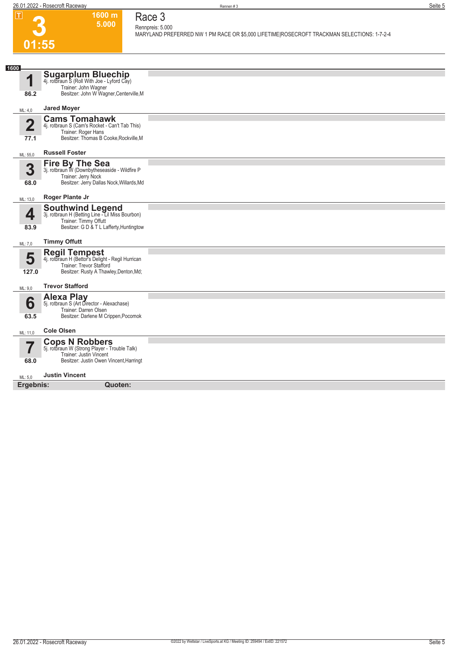**1600 m 5.000** 

**Race 3 Rennpreis: 5.000**

**MARYLAND PREFERRED NW 1 PM RACE OR \$5,000 LIFETIME|ROSECROFT TRACKMAN SELECTIONS: 1-7-2-4** 



| 1600<br>4            | Sugarplum Bluechip<br>4j. rotbraun S (Roll With Joe - Lyford Cay)<br>Trainer: John Wagner                                                       |  |
|----------------------|-------------------------------------------------------------------------------------------------------------------------------------------------|--|
| 86.2                 | Besitzer: John W Wagner, Centerville, M                                                                                                         |  |
| ML: 4,0              | <b>Jared Moyer</b>                                                                                                                              |  |
| $\mathbf 2$          | <b>Cams Tomahawk</b><br>4j. rotbraun S (Cam's Rocket - Can't Tab This)<br>Trainer: Roger Hans                                                   |  |
| 77.1                 | Besitzer: Thomas B Cooke, Rockville, M                                                                                                          |  |
| ML: 55,0             | <b>Russell Foster</b>                                                                                                                           |  |
| 3<br>68.0            | <b>Fire By The Sea</b><br>3j. rotbraun W (Downbytheseaside - Wildfire P<br>Trainer: Jerry Nock<br>Besitzer: Jerry Dallas Nock, Willards, Md     |  |
| ML: 13,0             | Roger Plante Jr                                                                                                                                 |  |
| 4<br>83.9            | Southwind Legend<br>3j. rotbraun H (Betting Line - Lil Miss Bourbon)<br>Trainer: Timmy Offutt<br>Besitzer: G D & T L Lafferty, Huntingtow       |  |
| ML: 7,0              | <b>Timmy Offutt</b>                                                                                                                             |  |
| 5<br>127.0           | <b>Regil Tempest</b><br>4j. rotbraun H (Bettor's Delight - Regil Hurrican<br>Trainer: Trevor Stafford<br>Besitzer: Rusty A Thawley, Denton, Md; |  |
| ML: 9,0              | <b>Trevor Stafford</b>                                                                                                                          |  |
| 6<br>63.5            | <b>Alexa Play</b><br>5j. rotbraun S (Art Director - Alexachase)<br>Trainer: Darren Olsen<br>Besitzer: Darlene M Crippen, Pocomok                |  |
| ML: 11,0             | <b>Cole Olsen</b>                                                                                                                               |  |
| . ــ<br>68.0         | <b>Cops N Robbers</b><br>5j. rotbraun W (Strong Player - Trouble Talk)<br>Trainer: Justin Vincent<br>Besitzer: Justin Owen Vincent, Harringt    |  |
|                      | <b>Justin Vincent</b>                                                                                                                           |  |
| ML: 5,0<br>Ergebnis: | Quoten:                                                                                                                                         |  |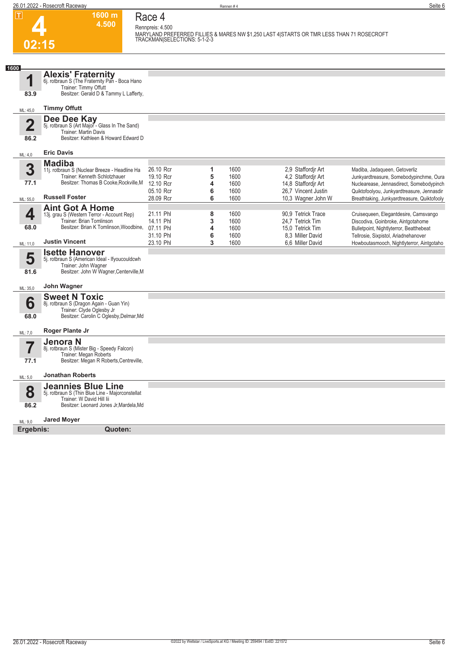**02:15**

**1600 m 4.500**  **Race 4 Rennpreis: 4.500**

**MARYLAND PREFERRED FILLIES & MARES NW \$1,250 LAST 4|STARTS OR TMR LESS THAN 71 ROSECROFT TRACKMAN|SELECTIONS: 5-1-2-3** 

| 1600                    |                                                                                                            |           |   |      |                     |                                             |
|-------------------------|------------------------------------------------------------------------------------------------------------|-----------|---|------|---------------------|---------------------------------------------|
| 1                       | <b>Alexis' Fraternity</b><br>6j. rotbraun S (The Fraternity Pan - Boca Hano                                |           |   |      |                     |                                             |
| 83.9                    | Trainer: Timmy Offutt<br>Besitzer: Gerald D & Tammy L Lafferty,                                            |           |   |      |                     |                                             |
| ML: 45,0                | <b>Timmy Offutt</b>                                                                                        |           |   |      |                     |                                             |
| $\overline{\mathbf{2}}$ | Dee Dee Kay<br>5j. rotbraun S (Art Major - Glass In The Sand)                                              |           |   |      |                     |                                             |
| 86.2                    | Trainer: Martin Davis<br>Besitzer: Kathleen & Howard Edward D                                              |           |   |      |                     |                                             |
| ML: 4,0                 | <b>Eric Davis</b>                                                                                          |           |   |      |                     |                                             |
|                         |                                                                                                            |           |   |      |                     |                                             |
| 3                       | <b>Madiba</b>                                                                                              | 26.10 Rcr | 1 | 1600 | 2.9 Staffordir Art  | Madiba, Jadaqueen, Getoverliz               |
|                         | 11j. rotbraun S (Nuclear Breeze - Headline Ha<br>Trainer: Kenneth Schlotzhauer                             | 19.10 Rcr | 5 | 1600 | 4.2 Staffordir Art  | Junkyardtreasure, Somebodypinchme, Oura     |
| 77.1                    | Besitzer: Thomas B Cooke, Rockville, M                                                                     | 12.10 Rcr | 4 | 1600 | 14,8 Staffordjr Art | Nuclearease, Jennasdirect, Somebodypinch    |
|                         |                                                                                                            | 05.10 Rcr | 6 | 1600 | 26.7 Vincent Justin | Quiktofoolyou, Junkyardtreasure, Jennasdir  |
|                         | <b>Russell Foster</b>                                                                                      | 28.09 Rcr | 6 | 1600 | 10,3 Wagner John W  | Breathtaking, Junkyardtreasure, Quiktofooly |
| ML: 55,0                |                                                                                                            |           |   |      |                     |                                             |
|                         | <b>Aint Got A Home</b>                                                                                     |           |   |      |                     |                                             |
| 4                       | 13j. grau S (Western Terror - Account Rep)                                                                 | 21.11 Phl | 8 | 1600 | 90.9 Tetrick Trace  | Cruisequeen, Elegantdesire, Camsvango       |
|                         | Trainer: Brian Tomlinson<br>Besitzer: Brian K Tomlinson. Woodbine.                                         | 14.11 Phl | 3 | 1600 | 24.7 Tetrick Tim    | Discodiva, Goinbroke, Aintgotahome          |
| 68.0                    |                                                                                                            | 07.11 Phl | 4 | 1600 | 15.0 Tetrick Tim    | Bulletpoint, Nightlyterror, Beatthebeat     |
|                         | <b>Justin Vincent</b>                                                                                      | 31.10 Phl | 6 | 1600 | 8.3 Miller David    | Tellrosie, Sixpistol, Ariadnehanover        |
| ML: 11.0                |                                                                                                            | 23.10 Phl | 3 | 1600 | 6.6 Miller David    | Howboutasmooch, Nightlyterror, Aintgotaho   |
| 5                       | <b>Isette Hanover</b><br>5j. rotbraun S (American Ideal - Ifyoucouldcwh<br>Trainer: John Wagner            |           |   |      |                     |                                             |
| 81.6                    | Besitzer: John W Wagner, Centerville, M                                                                    |           |   |      |                     |                                             |
| ML: 35,0                | John Wagner                                                                                                |           |   |      |                     |                                             |
|                         | <b>Sweet N Toxic</b>                                                                                       |           |   |      |                     |                                             |
| 6                       | 8j. rotbraun S (Dragon Again - Guan Yin)                                                                   |           |   |      |                     |                                             |
|                         | Trainer: Clyde Oglesby Jr                                                                                  |           |   |      |                     |                                             |
| 68.0                    | Besitzer: Carolin C Oglesby, Delmar, Md                                                                    |           |   |      |                     |                                             |
| ML: 7.0                 | Roger Plante Jr                                                                                            |           |   |      |                     |                                             |
| 7                       | Jenora N<br>8j. rotbraun S (Mister Big - Speedy Falcon)                                                    |           |   |      |                     |                                             |
|                         | Trainer: Megan Roberts                                                                                     |           |   |      |                     |                                             |
| 77.1                    | Besitzer: Megan R Roberts, Centreville,                                                                    |           |   |      |                     |                                             |
| ML: 5,0                 | <b>Jonathan Roberts</b>                                                                                    |           |   |      |                     |                                             |
| 8                       | <b>Jeannies Blue Line</b><br>5j. rotbraun S (Thin Blue Line - Majorconstellat<br>Trainer: W David Hill lii |           |   |      |                     |                                             |
| 86.2                    | Besitzer: Leonard Jones Jr, Mardela, Md                                                                    |           |   |      |                     |                                             |
| ML: 9,0                 | <b>Jared Moyer</b>                                                                                         |           |   |      |                     |                                             |
| Ergebnis:               | Quoten:                                                                                                    |           |   |      |                     |                                             |
|                         |                                                                                                            |           |   |      |                     |                                             |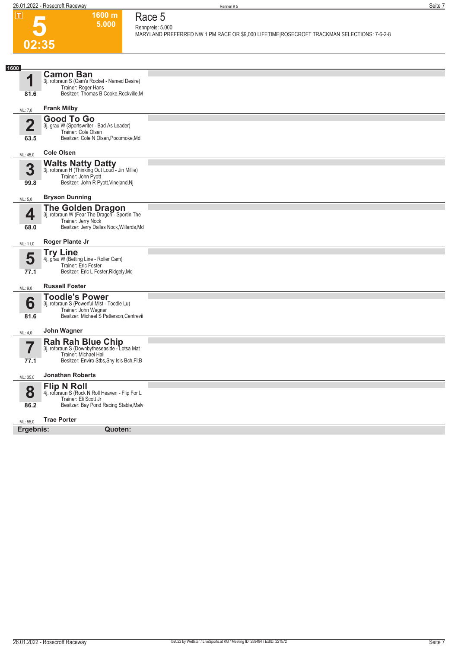

## **Race 5 Rennpreis: 5.000**

**1600 m 5.000** 

**MARYLAND PREFERRED NW 1 PM RACE OR \$9,000 LIFETIME|ROSECROFT TRACKMAN SELECTIONS: 7-6-2-8** 

| 1600                            |                                                                                                                                               |  |
|---------------------------------|-----------------------------------------------------------------------------------------------------------------------------------------------|--|
| И                               | <b>Camon Ban</b><br>3j. rotbraun S (Cam's Rocket - Named Desire)<br>Trainer: Roger Hans                                                       |  |
| 81.6                            | Besitzer: Thomas B Cooke, Rockville, M                                                                                                        |  |
| ML: 7,0                         | <b>Frank Milby</b>                                                                                                                            |  |
| $\overline{\mathbf{2}}$<br>63.5 | <b>Good To Go</b><br>3j. grau W (Sportswriter - Bad As Leader)<br>Trainer: Cole Olsen<br>Besitzer: Cole N Olsen, Pocomoke, Md                 |  |
| ML: 45,0                        | <b>Cole Olsen</b>                                                                                                                             |  |
| 3<br>99.8                       | Walts Natty Datty<br>3j. rotbraun H (Thinking Out Loud - Jin Millie)<br>Trainer: John Pyott<br>Besitzer: John R Pyott, Vineland, Nj           |  |
| ML: 5,0                         | <b>Bryson Dunning</b>                                                                                                                         |  |
| 4<br>68.0                       | <b>The Golden Dragon</b><br>3j. rotbraun W (Fear The Dragon - Sportin The<br>Trainer: Jerry Nock<br>Besitzer: Jerry Dallas Nock, Willards, Md |  |
| ML: 11,0                        | Roger Plante Jr                                                                                                                               |  |
| 5<br>77.1                       | <b>Try Line</b><br>4j. grau W (Betting Line - Roller Cam)<br>Trainer: Eric Foster<br>Besitzer: Eric L Foster, Ridgely, Md                     |  |
| ML: 9,0                         | <b>Russell Foster</b>                                                                                                                         |  |
| 6<br>81.6                       | <b>Toodle's Power</b><br>3j. rotbraun S (Powerful Mist - Toodle Lu)<br>Trainer: John Wagner<br>Besitzer: Michael S Patterson, Centrevii       |  |
| ML: 4,0                         | John Wagner                                                                                                                                   |  |
| 77.1                            | Rah Rah Blue Chip<br>3j. rotbraun S (Downbytheseaside - Lotsa Mat<br>Trainer: Michael Hall<br>Besitzer: Enviro Stbs, Sny Isls Bch, FI; B      |  |
| ML: 35,0                        | <b>Jonathan Roberts</b>                                                                                                                       |  |
| 8                               | <b>Flip N Roll</b><br>4j. rotbraun S (Rock N Roll Heaven - Flip For L<br>Trainer: Eli Scott Jr                                                |  |
| 86.2                            | Besitzer: Bay Pond Racing Stable, Malv                                                                                                        |  |
| ML: 55,0                        | <b>Trae Porter</b>                                                                                                                            |  |
| Ergebnis:                       | Quoten:                                                                                                                                       |  |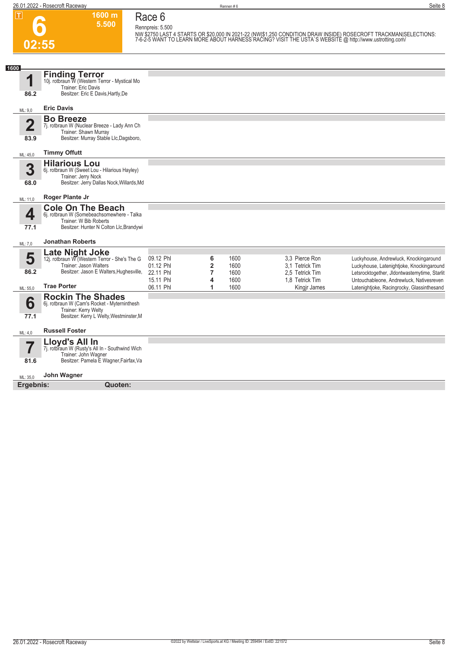**02:55**

**Race 6 Rennpreis: 5.500**

**1600 m 5.500** 

NW \$2750 LAST 4 STARTS OR \$20,000 IN 2021-22 (NW|\$1,250 CONDITION DRAW INSIDE) ROSECROFT TRACKMAN|SELECTIONS:<br>7-6-2-5 WANT TO LEARN MORE ABOUT HARNESS RACING? VISIT THE USTA`S WEBSITE @ http://www.ustrotting.com/

| 1600<br>и<br>86.2               | <b>Finding Terror</b><br>10j. rotbraun W (Western Terror - Mystical Mo<br>Trainer: Eric Davis<br>Besitzer: Eric E Davis, Hartly, De         |                                     |                                       |                      |                                                      |                                                                                                                                     |
|---------------------------------|---------------------------------------------------------------------------------------------------------------------------------------------|-------------------------------------|---------------------------------------|----------------------|------------------------------------------------------|-------------------------------------------------------------------------------------------------------------------------------------|
| ML: 9,0                         | <b>Eric Davis</b>                                                                                                                           |                                     |                                       |                      |                                                      |                                                                                                                                     |
| $\overline{\mathbf{2}}$<br>83.9 | <b>Bo Breeze</b><br>7j. rotbraun W (Nuclear Breeze - Lady Ann Ch<br>Trainer: Shawn Murray<br>Besitzer: Murray Stable Llc, Dagsboro,         |                                     |                                       |                      |                                                      |                                                                                                                                     |
| ML: 45,0                        | <b>Timmy Offutt</b>                                                                                                                         |                                     |                                       |                      |                                                      |                                                                                                                                     |
| 3<br>68.0                       | <b>Hilarious Lou</b><br>6j. rotbraun W (Sweet Lou - Hilarious Hayley)<br>Trainer: Jerry Nock<br>Besitzer: Jerry Dallas Nock, Willards, Md   |                                     |                                       |                      |                                                      |                                                                                                                                     |
| ML: 11,0                        | Roger Plante Jr                                                                                                                             |                                     |                                       |                      |                                                      |                                                                                                                                     |
| 4<br>77.1                       | <b>Cole On The Beach</b><br>6j. rotbraun W (Somebeachsomewhere - Talka<br>Trainer: W Bib Roberts<br>Besitzer: Hunter N Colton Llc, Brandywi |                                     |                                       |                      |                                                      |                                                                                                                                     |
| ML: 7,0                         | <b>Jonathan Roberts</b>                                                                                                                     |                                     |                                       |                      |                                                      |                                                                                                                                     |
| 5<br>86.2                       | Late Night Joke<br>12j. rotbraun W (Western Terror - She's The G<br>Trainer: Jason Walters<br>Besitzer: Jason E Walters, Hughesville,       | 09.12 Phl<br>01.12 Phl<br>22.11 Phl | 6<br>$\overline{2}$<br>$\overline{7}$ | 1600<br>1600<br>1600 | 3.3 Pierce Ron<br>3.1 Tetrick Tim<br>2.5 Tetrick Tim | Luckyhouse, Andrewluck, Knockingaround<br>Luckyhouse, Latenightjoke, Knockingaround<br>Letsrocktogether, Jldontwastemytime, Starlit |
| ML: 55,0                        | <b>Trae Porter</b>                                                                                                                          | 15.11 Phl<br>06.11 Phl              | 4<br>1                                | 1600<br>1600         | 1,8 Tetrick Tim<br>Kingjr James                      | Untouchableone, Andrewluck, Nativesreven<br>Latenightjoke, Racingrocky, Glassinthesand                                              |
| 6<br>77.1                       | <b>Rockin The Shades</b><br>6j. rotbraun W (Cam's Rocket - Myterninthesh<br>Trainer: Kerry Welty<br>Besitzer: Kerry L Welty, Westminster, M |                                     |                                       |                      |                                                      |                                                                                                                                     |
| ML: 4,0                         | <b>Russell Foster</b>                                                                                                                       |                                     |                                       |                      |                                                      |                                                                                                                                     |
| 81.6                            | Lloyd's All In<br>7j. rotbraun W (Rusty's All In - Southwind Wich<br>Trainer: John Wagner<br>Besitzer: Pamela E Wagner, Fairfax, Va         |                                     |                                       |                      |                                                      |                                                                                                                                     |
| ML: 35,0                        | John Wagner                                                                                                                                 |                                     |                                       |                      |                                                      |                                                                                                                                     |
| Ergebnis:                       | Quoten:                                                                                                                                     |                                     |                                       |                      |                                                      |                                                                                                                                     |
|                                 |                                                                                                                                             |                                     |                                       |                      |                                                      |                                                                                                                                     |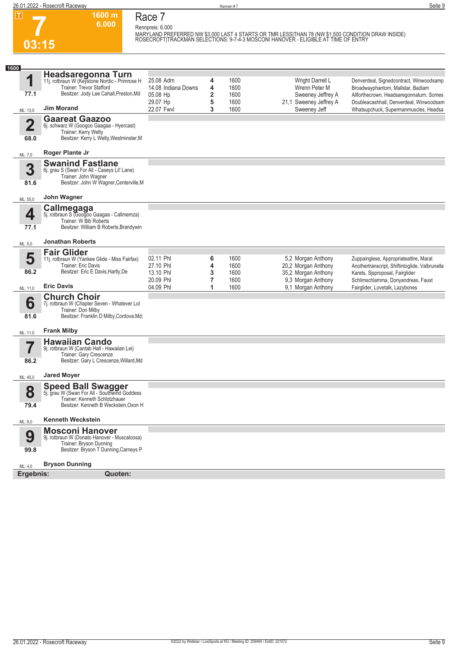**1600 m 6.000**  **Race 7**

**7 03:15**

**Rennpreis: 6.000** MARYLAND PREFERRED NW \$3,000 LAST 4 STARTS OR TMR LESS|THAN 78 (NW \$1,500 CONDITION DRAW INSIDE)<br>ROSECROFT|TRACKMAN SELECTIONS: 9-7-4-3 MOSCONI HANOVER - ELIGIBLE AT TIME OF ENTRY

| 1600                            |                                                                                                                                                     |                                     |                     |                      |                                                                  |                                                                                                                             |
|---------------------------------|-----------------------------------------------------------------------------------------------------------------------------------------------------|-------------------------------------|---------------------|----------------------|------------------------------------------------------------------|-----------------------------------------------------------------------------------------------------------------------------|
| 1                               | Headsaregonna Turn<br>11j. rotbraun W (Keystone Nordic - Primrose H<br>Trainer: Trevor Stafford                                                     | 25.08 Adrn<br>14.08 Indiana Downs   | 4<br>4              | 1600<br>1600         | Wright Darrell L<br>Wrenn Peter M                                | Denverdeal, Signedcontract, Winwoodsamp<br>Broadwayphantom, Mallstar, Badiam                                                |
| 77.1                            | Besitzer: Jody Lee Cahall, Preston, Md                                                                                                              | 05.08 Hp<br>29.07 Hp                | $\overline{2}$<br>5 | 1600<br>1600         | Sweeney Jeffrey A<br>21,1 Sweeney Jeffrey A                      | Allforthecrown, Headsaregonnaturn, Somes<br>Doubleacashhall, Denverdeal, Winwoodsam                                         |
| ML: 13,0                        | <b>Jim Morand</b>                                                                                                                                   | 22.07 Fwyl                          | 3                   | 1600                 | Sweeney Jeff                                                     | Whatsupchuck, Supermanmuscles, Headsa                                                                                       |
| $\overline{\mathbf{2}}$<br>68.0 | <b>Gaareat Gaazoo</b><br>6j. schwarz W (Googoo Gaagaa - Hyercast)<br>Trainer: Kerry Welty<br>Besitzer: Kerry L Welty, Westminster, M                |                                     |                     |                      |                                                                  |                                                                                                                             |
| ML: 7,0                         | <b>Roger Plante Jr</b>                                                                                                                              |                                     |                     |                      |                                                                  |                                                                                                                             |
| 3<br>81.6                       | <b>Swanind Fastlane</b><br>6j. grau S (Swan For All - Caseys Lil' Lane)<br>Trainer: John Wagner<br>Besitzer: John W Wagner, Centerville, M          |                                     |                     |                      |                                                                  |                                                                                                                             |
| ML: 55,0                        | John Wagner                                                                                                                                         |                                     |                     |                      |                                                                  |                                                                                                                             |
| 4<br>77.1                       | <b>Callmegaga</b><br>5j. rotbraun S (Googoo Gaagaa - Callmemza)<br>Trainer: W Bib Roberts<br>Besitzer: William B Roberts, Brandywin                 |                                     |                     |                      |                                                                  |                                                                                                                             |
| ML: 5,0                         | <b>Jonathan Roberts</b>                                                                                                                             |                                     |                     |                      |                                                                  |                                                                                                                             |
| 5<br>86.2                       | <b>Fair Glider</b><br>11j. rotbraun W (Yankee Glide - Miss Fairfax)<br>Trainer: Eric Davis<br>Besitzer: Eric E Davis, Hartly, De                    | 02.11 Phl<br>27.10 Phl<br>13.10 Phl | 6<br>4<br>3         | 1600<br>1600<br>1600 | 5,2 Morgan Anthony<br>20,2 Morgan Anthony<br>35,2 Morgan Anthony | Zuppainglese, Appropriateattire, Marat<br>Anothertranscript, Shiftintoqlide, Valbrunella<br>Karets, Sjsproposal, Fairglider |
| ML: 11,0                        | <b>Eric Davis</b>                                                                                                                                   | 20.09 Phl<br>04.09 Phl              | 7<br>1              | 1600<br>1600         | 9,3 Morgan Anthony<br>9,1 Morgan Anthony                         | Schlimschlamma, Donyandreas, Faust<br>Fairglider, Lovetalk, Lazybones                                                       |
| 6<br>81.6                       | <b>Church Choir</b><br>7j. rotbraun W (Chapter Seven - Whatever Lol<br>Trainer: Don Milby<br>Besitzer: Franklin D Milby, Cordova, Md;               |                                     |                     |                      |                                                                  |                                                                                                                             |
| ML: 11,0                        | <b>Frank Milby</b>                                                                                                                                  |                                     |                     |                      |                                                                  |                                                                                                                             |
| 7<br>86.2                       | <b>Hawaiian Cando</b><br>9j. rotbraun W (Cantab Hall - Hawaiian Lei)<br>Trainer: Gary Crescenze<br>Besitzer: Gary L Crescenze, Willard, Md          |                                     |                     |                      |                                                                  |                                                                                                                             |
|                                 | <b>Jared Moyer</b>                                                                                                                                  |                                     |                     |                      |                                                                  |                                                                                                                             |
| ML: 45,0<br>8<br>79.4           | <b>Speed Ball Swagger</b><br>5j. grau W (Swan For All - Southwind Goddess<br>Trainer: Kenneth Schlotzhauer<br>Besitzer: Kenneth B Weckstein, Oxon H |                                     |                     |                      |                                                                  |                                                                                                                             |
| ML: 9,0                         | <b>Kenneth Weckstein</b>                                                                                                                            |                                     |                     |                      |                                                                  |                                                                                                                             |
| 9<br>99.8                       | <b>Mosconi Hanover</b><br>9j. rotbraun W (Donato Hanover - Muscaloosa)<br>Trainer: Bryson Dunning<br>Besitzer: Bryson T Dunning, Carneys P          |                                     |                     |                      |                                                                  |                                                                                                                             |
| ML: 4,0                         | <b>Bryson Dunning</b>                                                                                                                               |                                     |                     |                      |                                                                  |                                                                                                                             |
| Ergebnis:                       | Quoten:                                                                                                                                             |                                     |                     |                      |                                                                  |                                                                                                                             |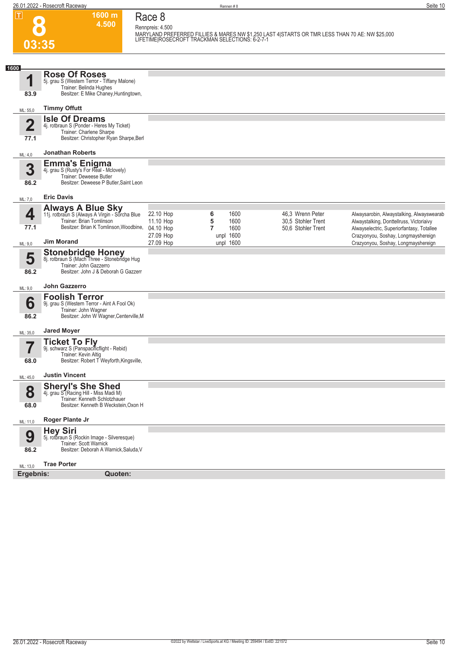**1600 m**

**Race 8**

**8**

| MARYLAND PREFERRED FILLIES & MARES NW \$1,250 LAST 4 STARTS OR TMR LESS THAN 70 AE: NW \$25,000<br>LIFETIME ROSECROFT TRACKMAN SELECTIONS: 6-2-7-1<br>03:35<br><b>Rose Of Roses</b><br>1<br>5j. grau S (Western Terror - Tiffany Malone)<br>Trainer: Belinda Hughes<br>Besitzer: E Mike Chaney, Huntingtown,<br>83.9<br><b>Timmy Offutt</b><br>ML: 55,0<br><b>Isle Of Dreams</b><br>$\overline{\mathbf{2}}$<br>4j. rotbraun S (Ponder - Heres My Ticket)<br>Trainer: Charlene Sharpe<br>Besitzer: Christopher Ryan Sharpe, Berl<br>77.1<br><b>Jonathan Roberts</b><br>ML: 4,0<br><b>Emma's Enigma</b><br>4j. grau S (Rusty's For Real - Mclovely)<br>3<br>Trainer: Deweese Butler<br>Besitzer: Deweese P Butler, Saint Leon<br>86.2<br><b>Eric Davis</b><br>ML: 7,0<br><b>Always A Blue Sky</b><br>11j. rotbraun S (Always A Virgin - Sorcha Blue<br>4<br>22.10 Hop<br>1600<br>46,3 Wrenn Peter<br>6<br>Trainer: Brian Tomlinson<br>5<br>1600<br>30,5 Stohler Trent<br>11.10 Hop<br>Alwaystalking, Donttellruss, Victoriaivy<br>Besitzer: Brian K Tomlinson, Woodbine,<br>77.1<br>$\overline{7}$<br>1600<br>04.10 Hop<br>50.6 Stohler Trent<br>Alwayselectric, Superiorfantasy, Totallee<br>unpl 1600<br>27.09 Hop<br>Crazyonyou, Soshay, Longmayshereign<br><b>Jim Morand</b><br>27.09 Hop<br>unpl 1600<br>Crazyonyou, Soshay, Longmayshereign<br>ML: 9,0<br>Stonebridge Honey<br>8j. rotbraun S (Mach Three - Stonebridge Hug<br>5<br>Trainer: John Gazzerro<br>Besitzer: John J & Deborah G Gazzerr<br>86.2<br>John Gazzerro<br>ML: 9,0<br><b>Foolish Terror</b><br>6<br>9j. grau S (Western Terror - Aint A Fool Ok)<br>Trainer: John Wagner<br>Besitzer: John W Wagner, Centerville, M<br>86.2<br><b>Jared Moyer</b><br>ML: 35,0<br><b>Ticket To Fly</b><br>9j. schwarz S (Panspacificflight - Rebid)<br>7<br>Trainer: Kevin Altig<br>Besitzer: Robert T Weyforth, Kingsville,<br>68.0<br><b>Justin Vincent</b><br>ML: 45,0<br><b>Sheryl's She Shed</b><br>8<br>4j. grau S (Racing Hill - Miss Madi M)<br>Trainer: Kenneth Schlotzhauer<br>Besitzer: Kenneth B Weckstein, Oxon H<br>68.0<br><b>Roger Plante Jr</b><br>ML: 11,0<br><b>Hey Siri</b><br>9<br>5j. rotbraun S (Rockin Image - Silveresque)<br>Trainer: Scott Warnick<br>Besitzer: Deborah A Warnick, Saluda, V<br>86.2<br><b>Trae Porter</b><br>ML: 13,0<br>Ergebnis:<br>Quoten: |      | 4.500 | Rennpreis: 4.500 |  |                                           |
|--------------------------------------------------------------------------------------------------------------------------------------------------------------------------------------------------------------------------------------------------------------------------------------------------------------------------------------------------------------------------------------------------------------------------------------------------------------------------------------------------------------------------------------------------------------------------------------------------------------------------------------------------------------------------------------------------------------------------------------------------------------------------------------------------------------------------------------------------------------------------------------------------------------------------------------------------------------------------------------------------------------------------------------------------------------------------------------------------------------------------------------------------------------------------------------------------------------------------------------------------------------------------------------------------------------------------------------------------------------------------------------------------------------------------------------------------------------------------------------------------------------------------------------------------------------------------------------------------------------------------------------------------------------------------------------------------------------------------------------------------------------------------------------------------------------------------------------------------------------------------------------------------------------------------------------------------------------------------------------------------------------------------------------------------------------------------------------------------------------------------------------------------------------------------------------------------------------------------------------------------------------------------------------------------------------------------------------------------|------|-------|------------------|--|-------------------------------------------|
|                                                                                                                                                                                                                                                                                                                                                                                                                                                                                                                                                                                                                                                                                                                                                                                                                                                                                                                                                                                                                                                                                                                                                                                                                                                                                                                                                                                                                                                                                                                                                                                                                                                                                                                                                                                                                                                                                                                                                                                                                                                                                                                                                                                                                                                                                                                                                  |      |       |                  |  |                                           |
|                                                                                                                                                                                                                                                                                                                                                                                                                                                                                                                                                                                                                                                                                                                                                                                                                                                                                                                                                                                                                                                                                                                                                                                                                                                                                                                                                                                                                                                                                                                                                                                                                                                                                                                                                                                                                                                                                                                                                                                                                                                                                                                                                                                                                                                                                                                                                  |      |       |                  |  |                                           |
|                                                                                                                                                                                                                                                                                                                                                                                                                                                                                                                                                                                                                                                                                                                                                                                                                                                                                                                                                                                                                                                                                                                                                                                                                                                                                                                                                                                                                                                                                                                                                                                                                                                                                                                                                                                                                                                                                                                                                                                                                                                                                                                                                                                                                                                                                                                                                  | 1600 |       |                  |  |                                           |
|                                                                                                                                                                                                                                                                                                                                                                                                                                                                                                                                                                                                                                                                                                                                                                                                                                                                                                                                                                                                                                                                                                                                                                                                                                                                                                                                                                                                                                                                                                                                                                                                                                                                                                                                                                                                                                                                                                                                                                                                                                                                                                                                                                                                                                                                                                                                                  |      |       |                  |  |                                           |
|                                                                                                                                                                                                                                                                                                                                                                                                                                                                                                                                                                                                                                                                                                                                                                                                                                                                                                                                                                                                                                                                                                                                                                                                                                                                                                                                                                                                                                                                                                                                                                                                                                                                                                                                                                                                                                                                                                                                                                                                                                                                                                                                                                                                                                                                                                                                                  |      |       |                  |  |                                           |
|                                                                                                                                                                                                                                                                                                                                                                                                                                                                                                                                                                                                                                                                                                                                                                                                                                                                                                                                                                                                                                                                                                                                                                                                                                                                                                                                                                                                                                                                                                                                                                                                                                                                                                                                                                                                                                                                                                                                                                                                                                                                                                                                                                                                                                                                                                                                                  |      |       |                  |  |                                           |
|                                                                                                                                                                                                                                                                                                                                                                                                                                                                                                                                                                                                                                                                                                                                                                                                                                                                                                                                                                                                                                                                                                                                                                                                                                                                                                                                                                                                                                                                                                                                                                                                                                                                                                                                                                                                                                                                                                                                                                                                                                                                                                                                                                                                                                                                                                                                                  |      |       |                  |  |                                           |
|                                                                                                                                                                                                                                                                                                                                                                                                                                                                                                                                                                                                                                                                                                                                                                                                                                                                                                                                                                                                                                                                                                                                                                                                                                                                                                                                                                                                                                                                                                                                                                                                                                                                                                                                                                                                                                                                                                                                                                                                                                                                                                                                                                                                                                                                                                                                                  |      |       |                  |  |                                           |
|                                                                                                                                                                                                                                                                                                                                                                                                                                                                                                                                                                                                                                                                                                                                                                                                                                                                                                                                                                                                                                                                                                                                                                                                                                                                                                                                                                                                                                                                                                                                                                                                                                                                                                                                                                                                                                                                                                                                                                                                                                                                                                                                                                                                                                                                                                                                                  |      |       |                  |  | Alwaysarobin, Alwaystalking, Alwayswearab |
|                                                                                                                                                                                                                                                                                                                                                                                                                                                                                                                                                                                                                                                                                                                                                                                                                                                                                                                                                                                                                                                                                                                                                                                                                                                                                                                                                                                                                                                                                                                                                                                                                                                                                                                                                                                                                                                                                                                                                                                                                                                                                                                                                                                                                                                                                                                                                  |      |       |                  |  |                                           |
|                                                                                                                                                                                                                                                                                                                                                                                                                                                                                                                                                                                                                                                                                                                                                                                                                                                                                                                                                                                                                                                                                                                                                                                                                                                                                                                                                                                                                                                                                                                                                                                                                                                                                                                                                                                                                                                                                                                                                                                                                                                                                                                                                                                                                                                                                                                                                  |      |       |                  |  |                                           |
|                                                                                                                                                                                                                                                                                                                                                                                                                                                                                                                                                                                                                                                                                                                                                                                                                                                                                                                                                                                                                                                                                                                                                                                                                                                                                                                                                                                                                                                                                                                                                                                                                                                                                                                                                                                                                                                                                                                                                                                                                                                                                                                                                                                                                                                                                                                                                  |      |       |                  |  |                                           |
|                                                                                                                                                                                                                                                                                                                                                                                                                                                                                                                                                                                                                                                                                                                                                                                                                                                                                                                                                                                                                                                                                                                                                                                                                                                                                                                                                                                                                                                                                                                                                                                                                                                                                                                                                                                                                                                                                                                                                                                                                                                                                                                                                                                                                                                                                                                                                  |      |       |                  |  |                                           |
|                                                                                                                                                                                                                                                                                                                                                                                                                                                                                                                                                                                                                                                                                                                                                                                                                                                                                                                                                                                                                                                                                                                                                                                                                                                                                                                                                                                                                                                                                                                                                                                                                                                                                                                                                                                                                                                                                                                                                                                                                                                                                                                                                                                                                                                                                                                                                  |      |       |                  |  |                                           |
|                                                                                                                                                                                                                                                                                                                                                                                                                                                                                                                                                                                                                                                                                                                                                                                                                                                                                                                                                                                                                                                                                                                                                                                                                                                                                                                                                                                                                                                                                                                                                                                                                                                                                                                                                                                                                                                                                                                                                                                                                                                                                                                                                                                                                                                                                                                                                  |      |       |                  |  |                                           |
|                                                                                                                                                                                                                                                                                                                                                                                                                                                                                                                                                                                                                                                                                                                                                                                                                                                                                                                                                                                                                                                                                                                                                                                                                                                                                                                                                                                                                                                                                                                                                                                                                                                                                                                                                                                                                                                                                                                                                                                                                                                                                                                                                                                                                                                                                                                                                  |      |       |                  |  |                                           |
|                                                                                                                                                                                                                                                                                                                                                                                                                                                                                                                                                                                                                                                                                                                                                                                                                                                                                                                                                                                                                                                                                                                                                                                                                                                                                                                                                                                                                                                                                                                                                                                                                                                                                                                                                                                                                                                                                                                                                                                                                                                                                                                                                                                                                                                                                                                                                  |      |       |                  |  |                                           |
|                                                                                                                                                                                                                                                                                                                                                                                                                                                                                                                                                                                                                                                                                                                                                                                                                                                                                                                                                                                                                                                                                                                                                                                                                                                                                                                                                                                                                                                                                                                                                                                                                                                                                                                                                                                                                                                                                                                                                                                                                                                                                                                                                                                                                                                                                                                                                  |      |       |                  |  |                                           |
|                                                                                                                                                                                                                                                                                                                                                                                                                                                                                                                                                                                                                                                                                                                                                                                                                                                                                                                                                                                                                                                                                                                                                                                                                                                                                                                                                                                                                                                                                                                                                                                                                                                                                                                                                                                                                                                                                                                                                                                                                                                                                                                                                                                                                                                                                                                                                  |      |       |                  |  |                                           |
|                                                                                                                                                                                                                                                                                                                                                                                                                                                                                                                                                                                                                                                                                                                                                                                                                                                                                                                                                                                                                                                                                                                                                                                                                                                                                                                                                                                                                                                                                                                                                                                                                                                                                                                                                                                                                                                                                                                                                                                                                                                                                                                                                                                                                                                                                                                                                  |      |       |                  |  |                                           |
|                                                                                                                                                                                                                                                                                                                                                                                                                                                                                                                                                                                                                                                                                                                                                                                                                                                                                                                                                                                                                                                                                                                                                                                                                                                                                                                                                                                                                                                                                                                                                                                                                                                                                                                                                                                                                                                                                                                                                                                                                                                                                                                                                                                                                                                                                                                                                  |      |       |                  |  |                                           |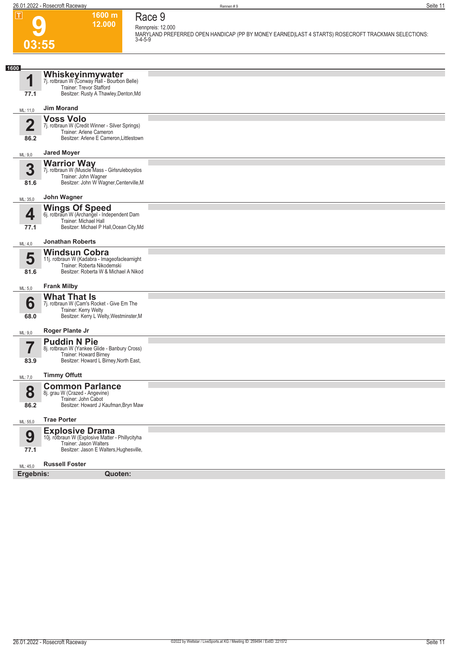**1600 m 12.000**  **Race 9 Rennpreis: 12.000**

**MARYLAND PREFERRED OPEN HANDICAP (PP BY MONEY EARNED|LAST 4 STARTS) ROSECROFT TRACKMAN SELECTIONS: 3-4-5-9** 

## **9 03:55**

| 1600                  |                                                                                                            |  |
|-----------------------|------------------------------------------------------------------------------------------------------------|--|
| 1                     | <b>Whiskeyinmywater</b><br>7j. rotbraun W (Conway Hall - Bourbon Belle)<br><b>Trainer: Trevor Stafford</b> |  |
| 77.1                  | Besitzer: Rusty A Thawley, Denton, Md                                                                      |  |
| ML: 11,0              | <b>Jim Morand</b>                                                                                          |  |
| $\overline{2}$        | <b>Voss Volo</b>                                                                                           |  |
|                       | 7j. rotbraun W (Credit Winner - Silver Springs)<br>Trainer: Arlene Cameron                                 |  |
| 86.2                  | Besitzer: Arlene E Cameron, Littlestown                                                                    |  |
| ML: 9,0               | <b>Jared Moyer</b>                                                                                         |  |
| 3                     | <b>Warrior Way</b><br>7j. rotbraun W (Muscle Mass - Girlsruleboyslos                                       |  |
|                       | Trainer: John Wagner                                                                                       |  |
| 81.6                  | Besitzer: John W Wagner, Centerville, M                                                                    |  |
| ML: 35,0              | John Wagner                                                                                                |  |
|                       | <b>Wings Of Speed</b>                                                                                      |  |
| 4                     | 6j. rotbraun W (Archangel - Independent Dam<br>Trainer: Michael Hall                                       |  |
| 77.1                  | Besitzer: Michael P Hall, Ocean City, Md                                                                   |  |
| ML: 4,0               | <b>Jonathan Roberts</b>                                                                                    |  |
|                       | <b>Windsun Cobra</b>                                                                                       |  |
| 5                     | 11j. rotbraun W (Kadabra - Imageofaclearnight<br>Trainer: Roberta Nikodemski                               |  |
| 81.6                  | Besitzer: Roberta W & Michael A Nikod                                                                      |  |
| ML: 5,0               | <b>Frank Milby</b>                                                                                         |  |
|                       | <b>What That Is</b>                                                                                        |  |
| 6                     | 7j. rotbraun W (Cam's Rocket - Give Em The<br>Trainer: Kerry Welty                                         |  |
| 68.0                  | Besitzer: Kerry L Welty, Westminster, M                                                                    |  |
| ML: 9,0               | Roger Plante Jr                                                                                            |  |
| 5                     | <b>Puddin N Pie</b>                                                                                        |  |
|                       | 8j. rotbraun W (Yankee Glide - Banbury Cross)<br>Trainer: Howard Birney                                    |  |
| 83.9                  | Besitzer: Howard L Birney, North East,                                                                     |  |
| ML: 7,0               | <b>Timmy Offutt</b>                                                                                        |  |
|                       | <b>Common Parlance</b>                                                                                     |  |
| 8                     | 8j. grau W (Crazed - Angevine)                                                                             |  |
| 86.2                  | Trainer: John Cabot<br>Besitzer: Howard J Kaufman, Bryn Maw                                                |  |
| ML: 55,0              | <b>Trae Porter</b>                                                                                         |  |
|                       | <b>Explosive Drama</b><br>10j. rotbraun W (Explosive Matter - Phillycityha                                 |  |
| 9                     | Trainer: Jason Walters                                                                                     |  |
| 77.1                  | Besitzer: Jason E Walters, Hughesville,                                                                    |  |
|                       | <b>Russell Foster</b>                                                                                      |  |
| ML: 45,0<br>Ergebnis: | Quoten:                                                                                                    |  |
|                       |                                                                                                            |  |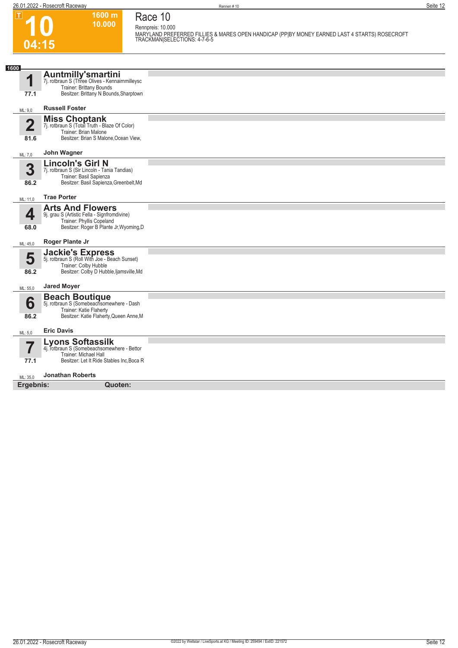$\boxed{1}$ 

**04:15**

**Race 10 Rennpreis: 10.000**

**1600 m 10.000** 

**MARYLAND PREFERRED FILLIES & MARES OPEN HANDICAP (PP|BY MONEY EARNED LAST 4 STARTS) ROSECROFT TRACKMAN|SELECTIONS: 4-7-6-5** 

| 1600                     |                                                                              |  |
|--------------------------|------------------------------------------------------------------------------|--|
|                          | <b>Auntmilly'smartini</b><br>7j. rotbraun S (Three Olives - Kennairnmilleysc |  |
| 1                        | Trainer: Brittany Bounds                                                     |  |
| 77.1                     | Besitzer: Brittany N Bounds, Sharptown                                       |  |
| ML: 9,0                  | <b>Russell Foster</b>                                                        |  |
|                          | <b>Miss Choptank</b><br>7j. rotbraun S (Total Truth - Blaze Of Color)        |  |
| $\overline{\mathbf{2}}$  | Trainer: Brian Malone                                                        |  |
| 81.6                     | Besitzer: Brian S Malone, Ocean View,                                        |  |
| ML: 7,0                  | John Wagner                                                                  |  |
|                          | <b>Lincoln's Girl N</b>                                                      |  |
| 3                        | 7j. rotbraun S (Sir Lincoln - Tania Tandias)<br>Trainer: Basil Sapienza      |  |
| 86.2                     | Besitzer: Basil Sapienza, Greenbelt, Md                                      |  |
| ML: 11,0                 | <b>Trae Porter</b>                                                           |  |
|                          | <b>Arts And Flowers</b>                                                      |  |
| 4                        | 9j. grau S (Artistic Fella - Signfromdivine)<br>Trainer: Phyllis Copeland    |  |
| 68.0                     | Besitzer: Roger B Plante Jr, Wyoming, D                                      |  |
| ML: 45,0                 | Roger Plante Jr                                                              |  |
|                          |                                                                              |  |
| 5                        | <b>Jackie's Express</b><br>5j. rotbraun S (Roll With Joe - Beach Sunset)     |  |
| 86.2                     | Trainer: Colby Hubble<br>Besitzer: Colby D Hubble, ljamsville, Md            |  |
|                          | <b>Jared Moyer</b>                                                           |  |
| ML: 55,0                 |                                                                              |  |
| 6                        | <b>Beach Boutique</b><br>5j. rotbraun S (Somebeachsomewhere - Dash           |  |
| 86.2                     | Trainer: Katie Flaherty<br>Besitzer: Katie Flaherty, Queen Anne, M           |  |
|                          |                                                                              |  |
| ML: 5,0                  | <b>Eric Davis</b>                                                            |  |
| $\overline{\phantom{a}}$ | <b>Lyons Softassilk</b>                                                      |  |
|                          | 4j. rotbraun S (Somebeachsomewhere - Bettor<br>Trainer: Michael Hall         |  |
| 77.1                     | Besitzer: Let It Ride Stables Inc, Boca R                                    |  |
| ML: 35,0                 | <b>Jonathan Roberts</b>                                                      |  |
| Ergebnis:                | Quoten:                                                                      |  |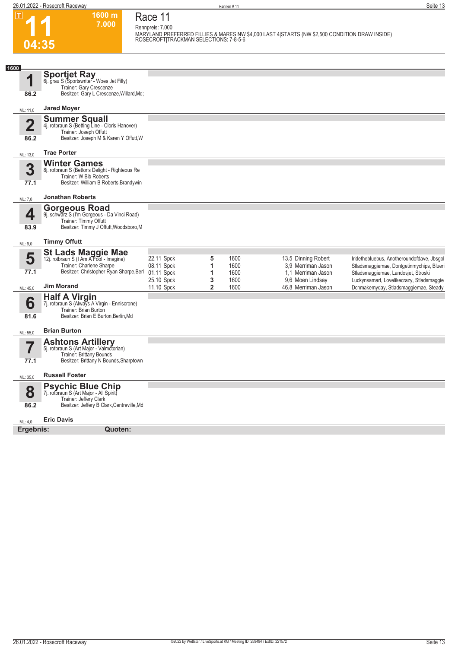$\boxed{1}$ 

**04:35**

**1600 m 7.000 Race 11 Rennpreis: 7.000**

**MARYLAND PREFERRED FILLIES & MARES NW \$4,000 LAST 4|STARTS (NW \$2,500 CONDITION DRAW INSIDE) ROSECROFT|TRACKMAN SELECTIONS: 7-8-5-6** 

| 1600                    |                                                                                                                                            |                                        |             |                      |                                                                 |                                                                                                                                |
|-------------------------|--------------------------------------------------------------------------------------------------------------------------------------------|----------------------------------------|-------------|----------------------|-----------------------------------------------------------------|--------------------------------------------------------------------------------------------------------------------------------|
| 4                       | <b>Sportjet Ray</b><br>6j. grau S (Sportswriter - Woes Jet Filly)<br>Trainer: Gary Crescenze                                               |                                        |             |                      |                                                                 |                                                                                                                                |
| 86.2                    | Besitzer: Gary L Crescenze, Willard, Md;                                                                                                   |                                        |             |                      |                                                                 |                                                                                                                                |
| ML: 11,0                | <b>Jared Moyer</b>                                                                                                                         |                                        |             |                      |                                                                 |                                                                                                                                |
| $\overline{\mathbf{2}}$ | <b>Summer Squall</b><br>4j. rotbraun S (Betting Line - Cloris Hanover)<br>Trainer: Joseph Offutt                                           |                                        |             |                      |                                                                 |                                                                                                                                |
| 86.2                    | Besitzer: Joseph M & Karen Y Offutt, W                                                                                                     |                                        |             |                      |                                                                 |                                                                                                                                |
| ML: 13,0                | <b>Trae Porter</b>                                                                                                                         |                                        |             |                      |                                                                 |                                                                                                                                |
| 3<br>77.1               | <b>Winter Games</b><br>8j. rotbraun S (Bettor's Delight - Righteous Re<br>Trainer: W Bib Roberts<br>Besitzer: William B Roberts, Brandywin |                                        |             |                      |                                                                 |                                                                                                                                |
| ML: 7,0                 | <b>Jonathan Roberts</b>                                                                                                                    |                                        |             |                      |                                                                 |                                                                                                                                |
| 4                       | <b>Gorgeous Road</b><br>9j. schwarz S (I'm Gorgeous - Da Vinci Road)<br>Trainer: Timmy Offutt<br>Besitzer: Timmy J Offutt, Woodsboro, M    |                                        |             |                      |                                                                 |                                                                                                                                |
| 83.9                    |                                                                                                                                            |                                        |             |                      |                                                                 |                                                                                                                                |
| ML: 9,0                 | <b>Timmy Offutt</b>                                                                                                                        |                                        |             |                      |                                                                 |                                                                                                                                |
| 5<br>77.1               | St Lads Maggie Mae<br>12j. rotbraun S (I Am A Fool - Imagine)<br>Trainer: Charlene Sharpe<br>Besitzer: Christopher Ryan Sharpe, Berl       | 22.11 Spck<br>08.11 Spck<br>01.11 Spck | 5<br>1<br>1 | 1600<br>1600<br>1600 | 13,5 Dinning Robert<br>3,9 Merriman Jason<br>1.1 Merriman Jason | Iridethebluebus, Anotheroundofdave, Jbsgol<br>Stladsmaggiemae, Dontgetinmychips, Blueri<br>Stladsmaggiemae, Landosjet, Stroski |
| ML: 45,0                | <b>Jim Morand</b>                                                                                                                          | 25.10 Spck<br>11.10 Spck               | 3<br>2      | 1600<br>1600         | 9.6 Moen Lindsay<br>46,8 Merriman Jason                         | Luckynsamart, Lovelikecrazy, Stladsmaggie<br>Dcnmakemyday, Stladsmaggiemae, Steady                                             |
| 6<br>81.6               | <b>Half A Virgin</b><br>7j. rotbraun S (Always A Virgin - Enniscrone)<br>Trainer: Brian Burton<br>Besitzer: Brian E Burton, Berlin, Md     |                                        |             |                      |                                                                 |                                                                                                                                |
| ML: 55,0                | <b>Brian Burton</b>                                                                                                                        |                                        |             |                      |                                                                 |                                                                                                                                |
| 5,<br>I                 | <b>Ashtons Artillery</b><br>5j. rotbraun S (Art Major - Valmctorian)<br>Trainer: Brittany Bounds                                           |                                        |             |                      |                                                                 |                                                                                                                                |
| 77.1                    | Besitzer: Brittany N Bounds, Sharptown                                                                                                     |                                        |             |                      |                                                                 |                                                                                                                                |
| ML: 35,0                | <b>Russell Foster</b>                                                                                                                      |                                        |             |                      |                                                                 |                                                                                                                                |
| 8                       | <b>Psychic Blue Chip</b><br>7j. rotbraun S (Art Major - All Spirit)<br>Trainer: Jeffery Clark                                              |                                        |             |                      |                                                                 |                                                                                                                                |
| 86.2                    | Besitzer: Jeffery B Clark, Centreville, Md                                                                                                 |                                        |             |                      |                                                                 |                                                                                                                                |
| ML: 4,0                 | <b>Eric Davis</b>                                                                                                                          |                                        |             |                      |                                                                 |                                                                                                                                |
| Ergebnis:               | Quoten:                                                                                                                                    |                                        |             |                      |                                                                 |                                                                                                                                |
|                         |                                                                                                                                            |                                        |             |                      |                                                                 |                                                                                                                                |